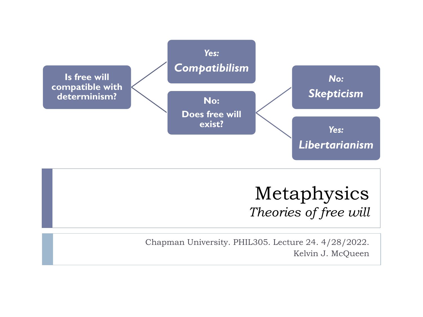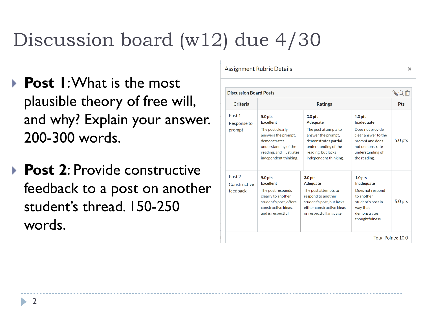# Discussion board (w12) due 4/30

- **Post 1**: What is the most plausible theory of free will, and why? Explain your answer. 200-300 words.
- **▶ Post 2: Provide constructive** feedback to a post on another student's thread. 150-250 words.

**Assignment Rubric Details** 

| <b>Discussion Board Posts</b>                 |                                                                                                                                                                                |                                                                                                                                                                             |                                                                                                                                                       | $\overline{\mathbb{H}}$ |
|-----------------------------------------------|--------------------------------------------------------------------------------------------------------------------------------------------------------------------------------|-----------------------------------------------------------------------------------------------------------------------------------------------------------------------------|-------------------------------------------------------------------------------------------------------------------------------------------------------|-------------------------|
| Criteria                                      | <b>Ratings</b>                                                                                                                                                                 |                                                                                                                                                                             |                                                                                                                                                       | Pts                     |
| Post <sub>1</sub><br>Response to<br>prompt    | 5.0 <sub>pts</sub><br><b>Fxcellent</b><br>The post clearly<br>answers the prompt,<br>demonstrates<br>understanding of the<br>reading, and illustrates<br>independent thinking. | 3.0 <sub>pts</sub><br>Adequate<br>The post attempts to<br>answer the prompt,<br>demonstrates partial<br>understanding of the<br>reading, but lacks<br>independent thinking. | 1.0 <sub>pts</sub><br>Inadequate<br>Does not provide<br>clear answer to the<br>prompt and does<br>not demonstrate<br>understanding of<br>the reading. | 5.0 pts                 |
| Post <sub>2</sub><br>Constructive<br>feedback | 5.0 pts<br><b>Excellent</b><br>The post responds<br>clearly to another<br>student's post, offers<br>constructive ideas.<br>and is respectful.                                  | 3.0 <sub>pts</sub><br>Adequate<br>The post attempts to<br>respond to another<br>student's post, but lacks<br>either constructive ideas<br>or respectful language.           | 1.0 <sub>pts</sub><br>Inadequate<br>Does not respond<br>to another<br>student's post in<br>way that<br>demonstrates<br>thoughtfulness.                | $5.0$ pts               |

 $\times$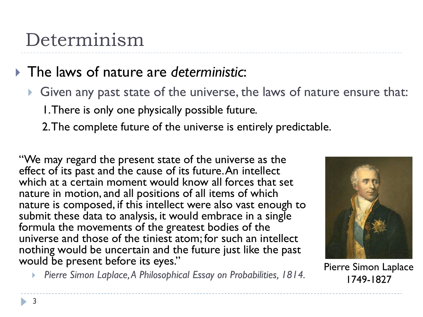## Determinism

### The laws of nature are *deterministic*:

- Given any past state of the universe, the laws of nature ensure that: 1. There is only one physically possible future*.*
	- 2. The complete future of the universe is entirely predictable.

"We may regard the present state of the universe as the effect of its past and the cause of its future. An intellect which at a certain moment would know all forces that set nature in motion, and all positions of all items of which nature is composed, if this intellect were also vast enough to submit these data to analysis, it would embrace in a single formula the movements of the greatest bodies of the universe and those of the tiniest atom; for such an intellect nothing would be uncertain and the future just like the past would be present before its eyes."



1749-1827

*Pierre Simon Laplace,A Philosophical Essay on Probabilities, 1814.* Pierre Simon Laplace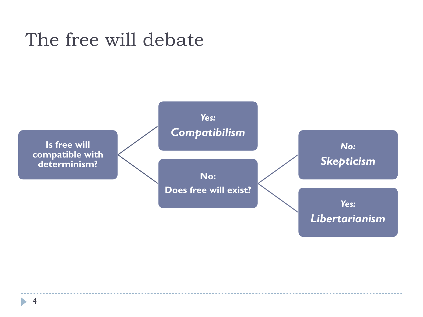## The free will debate

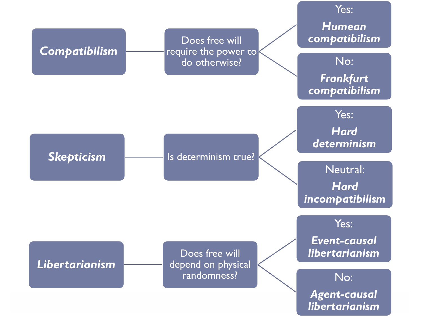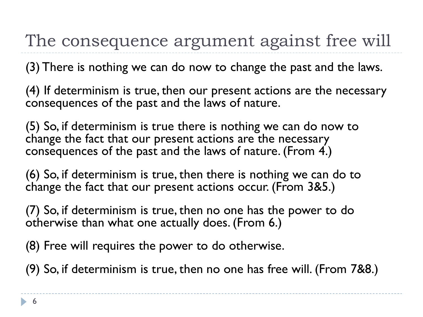The consequence argument against free will

(3) There is nothing we can do now to change the past and the laws.

(4) If determinism is true, then our present actions are the necessary consequences of the past and the laws of nature.

(5) So, if determinism is true there is nothing we can do now to change the fact that our present actions are the necessary consequences of the past and the laws of nature. (From 4.)

(6) So, if determinism is true, then there is nothing we can do to change the fact that our present actions occur. (From 3&5.)

(7) So, if determinism is true, then no one has the power to do otherwise than what one actually does. (From 6.)

(8) Free will requires the power to do otherwise.

(9) So, if determinism is true, then no one has free will. (From 7&8.)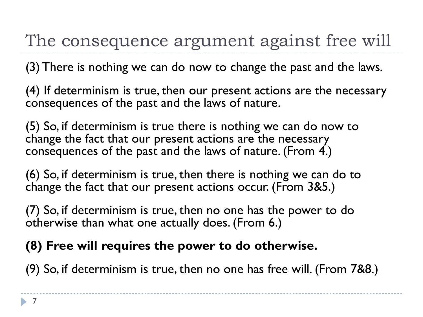The consequence argument against free will

(3) There is nothing we can do now to change the past and the laws.

(4) If determinism is true, then our present actions are the necessary consequences of the past and the laws of nature.

(5) So, if determinism is true there is nothing we can do now to change the fact that our present actions are the necessary consequences of the past and the laws of nature. (From 4.)

(6) So, if determinism is true, then there is nothing we can do to change the fact that our present actions occur. (From 3&5.)

(7) So, if determinism is true, then no one has the power to do otherwise than what one actually does. (From 6.)

### **(8) Free will requires the power to do otherwise.**

(9) So, if determinism is true, then no one has free will. (From 7&8.)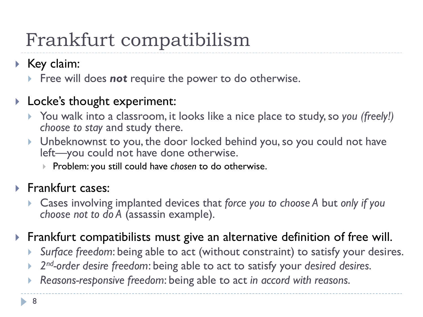# Frankfurt compatibilism

- $\blacktriangleright$  Key claim:
	- **Figuel** Free will does **not** require the power to do otherwise.

### ▶ Locke's thought experiment:

- ▶ You walk into a classroom, it looks like a nice place to study, so you *(freely!) choose to stay* and study there.
- Unbeknownst to you, the door locked behind you, so you could not have left—you could not have done otherwise.
	- **Problem: you still could have** *chosen* **to do otherwise.**

### **Frankfurt cases:**

- Cases involving implanted devices that *force you to choose A* but *only if you choose not to do A* (assassin example).
- Frankfurt compatibilists must give an alternative definition of free will.
	- *Surface freedom*: being able to act (without constraint) to satisfy your desires.
	- *2nd-order desire freedom*: being able to act to satisfy your *desired desires*.
	- *Reasons-responsive freedom*: being able to act *in accord with reasons*.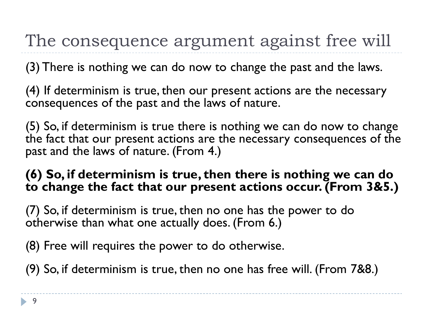The consequence argument against free will

(3) There is nothing we can do now to change the past and the laws.

(4) If determinism is true, then our present actions are the necessary consequences of the past and the laws of nature.

(5) So, if determinism is true there is nothing we can do now to change the fact that our present actions are the necessary consequences of the past and the laws of nature. (From 4.)

### **(6) So, if determinism is true, then there is nothing we can do to change the fact that our present actions occur. (From 3&5.)**

(7) So, if determinism is true, then no one has the power to do otherwise than what one actually does. (From 6.)

(8) Free will requires the power to do otherwise.

(9) So, if determinism is true, then no one has free will. (From 7&8.)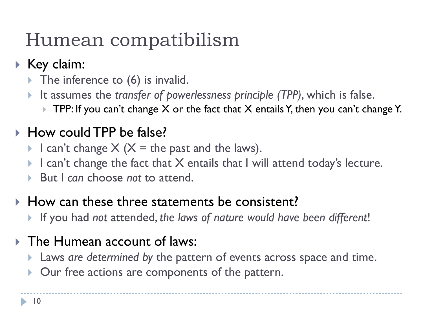## Humean compatibilism

- $\triangleright$  Key claim:
	- $\triangleright$  The inference to (6) is invalid.
	- It assumes the *transfer of powerlessness principle (TPP)*, which is false.
		- $\triangleright$  TPP: If you can't change X or the fact that X entails Y, then you can't change Y.

## ▶ How could TPP be false?

- I can't change  $X$  ( $X =$  the past and the laws).
- I can't change the fact that X entails that I will attend today's lecture.
- But I *can* choose *not* to attend.

### $\blacktriangleright$  How can these three statements be consistent?

If you had *not* attended, *the laws of nature would have been different*!

## **The Humean account of laws:**

- Laws *are determined by* the pattern of events across space and time.
- Our free actions are components of the pattern.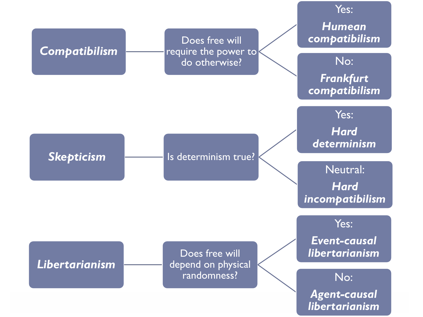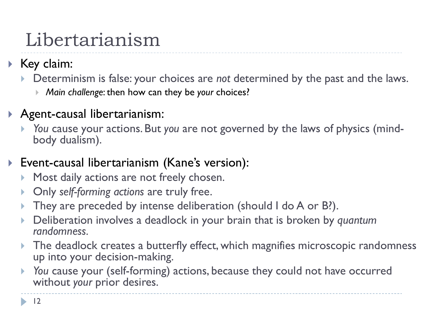## Libertarianism

- $\blacktriangleright$  Key claim:
	- Determinism is false: your choices are *not* determined by the past and the laws.
		- *Main challenge*: then how can they be *your* choices?
- Agent-causal libertarianism:
	- *You* cause your actions. But *you* are not governed by the laws of physics (mind- body dualism).
- Event-causal libertarianism (Kane's version):
	- **Most daily actions are not freely chosen.**
	- Only *self-forming actions* are truly free.
	- They are preceded by intense deliberation (should I do A or B?).
	- Deliberation involves a deadlock in your brain that is broken by *quantum randomness.*
	- The deadlock creates a butterfly effect, which magnifies microscopic randomness up into your decision-making.
	- *You* cause your (self-forming) actions, because they could not have occurred without *your* prior desires.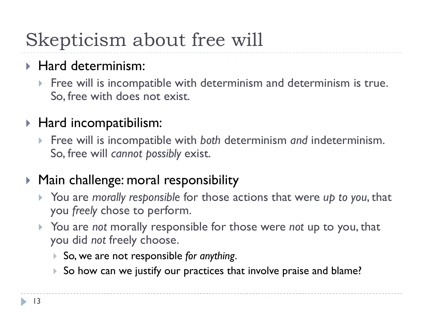# Skepticism about free will

## ▶ Hard determinism:

Free will is incompatible with determinism and determinism is true. So, free with does not exist.

## ▶ Hard incompatibilism:

 Free will is incompatible with *both* determinism *and* indeterminism. So, free will *cannot possibly* exist.

### ▶ Main challenge: moral responsibility

- You are *morally responsible* for those actions that were *up to you*, that you *freely* chose to perform.
- You are *not* morally responsible for those were *not* up to you, that you did *not* freely choose.
	- So, we are not responsible *for anything*.
	- So how can we justify our practices that involve praise and blame?